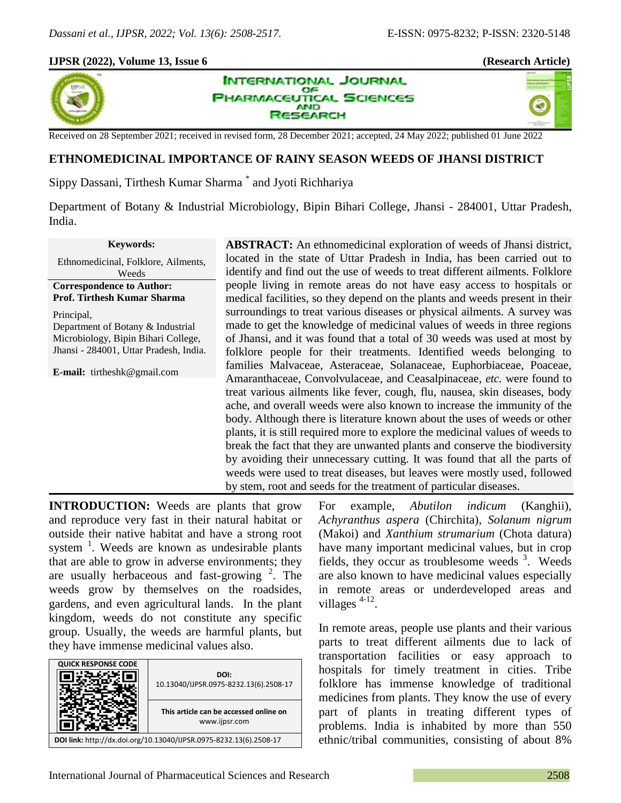×.

### **IJPSR (2022), Volume 13, Issue 6 (Research Article)**



**INTERNATIONAL JOURNAL** OF **PHARMACEUTICAL SCIENCES AND SEARCH** 

Received on 28 September 2021; received in revised form, 28 December 2021; accepted, 24 May 2022; published 01 June 2022

# **ETHNOMEDICINAL IMPORTANCE OF RAINY SEASON WEEDS OF JHANSI DISTRICT**

Sippy Dassani, Tirthesh Kumar Sharma \* and Jyoti Richhariya

Department of Botany & Industrial Microbiology, Bipin Bihari College, Jhansi - 284001, Uttar Pradesh, India.

### **Keywords:**

Ethnomedicinal, Folklore, Ailments, Weeds

**Correspondence to Author: Prof. Tirthesh Kumar Sharma**

Principal, Department of Botany & Industrial Microbiology, Bipin Bihari College, Jhansi - 284001, Uttar Pradesh, India.

**E-mail:** tirtheshk@gmail.com

**ABSTRACT:** An ethnomedicinal exploration of weeds of Jhansi district, located in the state of Uttar Pradesh in India, has been carried out to identify and find out the use of weeds to treat different ailments. Folklore people living in remote areas do not have easy access to hospitals or medical facilities, so they depend on the plants and weeds present in their surroundings to treat various diseases or physical ailments. A survey was made to get the knowledge of medicinal values of weeds in three regions of Jhansi, and it was found that a total of 30 weeds was used at most by folklore people for their treatments. Identified weeds belonging to families Malvaceae, Asteraceae, Solanaceae, Euphorbiaceae, Poaceae, Amaranthaceae, Convolvulaceae, and Ceasalpinaceae, *etc.* were found to treat various ailments like fever, cough, flu, nausea, skin diseases, body ache, and overall weeds were also known to increase the immunity of the body. Although there is literature known about the uses of weeds or other plants, it is still required more to explore the medicinal values of weeds to break the fact that they are unwanted plants and conserve the biodiversity by avoiding their unnecessary cutting. It was found that all the parts of weeds were used to treat diseases, but leaves were mostly used, followed by stem, root and seeds for the treatment of particular diseases.

**INTRODUCTION:** Weeds are plants that grow and reproduce very fast in their natural habitat or outside their native habitat and have a strong root system  $<sup>1</sup>$ . Weeds are known as undesirable plants</sup> that are able to grow in adverse environments; they are usually herbaceous and fast-growing  $2$ . The weeds grow by themselves on the roadsides, gardens, and even agricultural lands. In the plant kingdom, weeds do not constitute any specific group. Usually, the weeds are harmful plants, but they have immense medicinal values also.

| <b>QUICK RESPONSE CODE</b>                                         |                                        |  |
|--------------------------------------------------------------------|----------------------------------------|--|
|                                                                    | DOI:                                   |  |
|                                                                    | 10.13040/IJPSR.0975-8232.13(6).2508-17 |  |
|                                                                    |                                        |  |
|                                                                    |                                        |  |
|                                                                    | This article can be accessed online on |  |
|                                                                    |                                        |  |
|                                                                    | www.ijpsr.com                          |  |
|                                                                    |                                        |  |
| DOI link: http://dx.doi.org/10.13040/IJPSR.0975-8232.13(6).2508-17 |                                        |  |

For example, *Abutilon indicum* (Kanghii), *Achyranthus aspera* (Chirchita), *Solanum nigrum* (Makoi) and *Xanthium strumarium* (Chota datura) have many important medicinal values, but in crop fields, they occur as troublesome weeds  $3$ . Weeds are also known to have medicinal values especially in remote areas or underdeveloped areas and villages<sup>4-12</sup>.

In remote areas, people use plants and their various parts to treat different ailments due to lack of transportation facilities or easy approach to hospitals for timely treatment in cities. Tribe folklore has immense knowledge of traditional medicines from plants. They know the use of every part of plants in treating different types of problems. India is inhabited by more than 550 ethnic/tribal communities, consisting of about 8%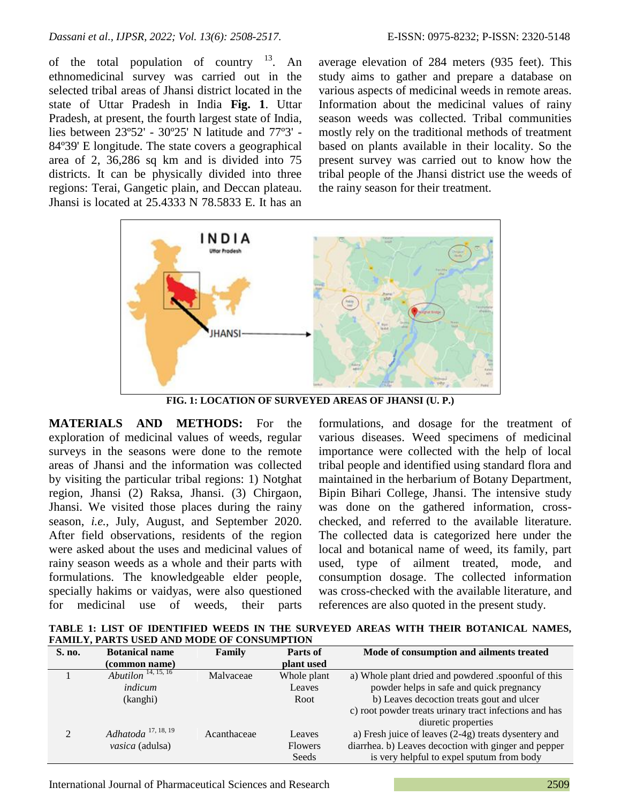of the total population of country  $13$ . An ethnomedicinal survey was carried out in the selected tribal areas of Jhansi district located in the state of Uttar Pradesh in India **Fig. 1**. Uttar Pradesh, at present, the fourth largest state of India, lies between 23º52' - 30º25' N latitude and 77º3' - 84º39' E longitude. The state covers a geographical area of 2, 36,286 sq km and is divided into 75 districts. It can be physically divided into three regions: Terai, Gangetic plain, and Deccan plateau. Jhansi is located at 25.4333 N 78.5833 E. It has an average elevation of 284 meters (935 feet). This study aims to gather and prepare a database on various aspects of medicinal weeds in remote areas. Information about the medicinal values of rainy season weeds was collected. Tribal communities mostly rely on the traditional methods of treatment based on plants available in their locality. So the present survey was carried out to know how the tribal people of the Jhansi district use the weeds of the rainy season for their treatment.



**FIG. 1: LOCATION OF SURVEYED AREAS OF JHANSI (U. P.)**

**MATERIALS AND METHODS:** For the exploration of medicinal values of weeds, regular surveys in the seasons were done to the remote areas of Jhansi and the information was collected by visiting the particular tribal regions: 1) Notghat region, Jhansi (2) Raksa, Jhansi. (3) Chirgaon, Jhansi. We visited those places during the rainy season, *i.e.,* July, August, and September 2020. After field observations, residents of the region were asked about the uses and medicinal values of rainy season weeds as a whole and their parts with formulations. The knowledgeable elder people, specially hakims or vaidyas, were also questioned for medicinal use of weeds, their parts

formulations, and dosage for the treatment of various diseases. Weed specimens of medicinal importance were collected with the help of local tribal people and identified using standard flora and maintained in the herbarium of Botany Department, Bipin Bihari College, Jhansi. The intensive study was done on the gathered information, crosschecked, and referred to the available literature. The collected data is categorized here under the local and botanical name of weed, its family, part used, type of ailment treated, mode, and consumption dosage. The collected information was cross-checked with the available literature, and references are also quoted in the present study.

**TABLE 1: LIST OF IDENTIFIED WEEDS IN THE SURVEYED AREAS WITH THEIR BOTANICAL NAMES, FAMILY, PARTS USED AND MODE OF CONSUMPTION**

| S. no. | <b>Botanical name</b>                 | Family      | Parts of       | Mode of consumption and ailments treated               |
|--------|---------------------------------------|-------------|----------------|--------------------------------------------------------|
|        | (common name)                         |             | plant used     |                                                        |
|        | <i>Abutilon</i> <sup>14, 15, 16</sup> | Malvaceae   | Whole plant    | a) Whole plant dried and powdered .spoonful of this    |
|        | indicum                               |             | Leaves         | powder helps in safe and quick pregnancy               |
|        | (kanghi)                              |             | Root           | b) Leaves decoction treats gout and ulcer              |
|        |                                       |             |                | c) root powder treats urinary tract infections and has |
|        |                                       |             |                | diuretic properties                                    |
| 2      | Adhatoda $^{17, 18, 19}$              | Acanthaceae | Leaves         | a) Fresh juice of leaves (2-4g) treats dysentery and   |
|        | vasica (adulsa)                       |             | <b>Flowers</b> | diarrhea. b) Leaves decoction with ginger and pepper   |
|        |                                       |             | Seeds          | is very helpful to expel sputum from body              |

International Journal of Pharmaceutical Sciences and Research 2509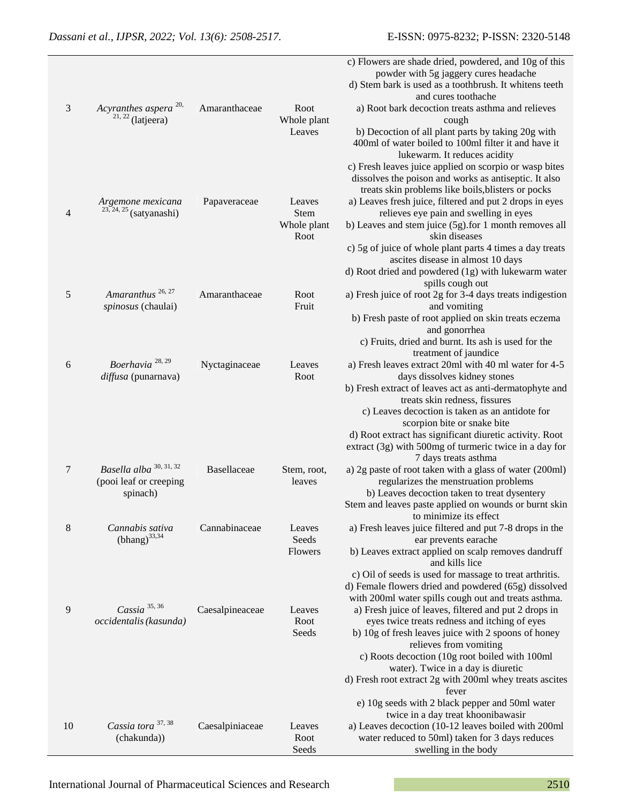|                |                                  |                 |             | c) Flowers are shade dried, powdered, and 10g of this                                                           |
|----------------|----------------------------------|-----------------|-------------|-----------------------------------------------------------------------------------------------------------------|
|                |                                  |                 |             | powder with 5g jaggery cures headache                                                                           |
|                |                                  |                 |             | d) Stem bark is used as a toothbrush. It whitens teeth                                                          |
|                |                                  |                 |             | and cures toothache                                                                                             |
| 3              | Acyranthes aspera <sup>20,</sup> | Amaranthaceae   | Root        | a) Root bark decoction treats asthma and relieves                                                               |
|                | $21, 22$ (latjeera)              |                 | Whole plant | cough                                                                                                           |
|                |                                  |                 | Leaves      | b) Decoction of all plant parts by taking 20g with                                                              |
|                |                                  |                 |             | 400ml of water boiled to 100ml filter it and have it                                                            |
|                |                                  |                 |             | lukewarm. It reduces acidity                                                                                    |
|                |                                  |                 |             | c) Fresh leaves juice applied on scorpio or wasp bites<br>dissolves the poison and works as antiseptic. It also |
|                |                                  |                 |             | treats skin problems like boils, blisters or pocks                                                              |
|                | Argemone mexicana                | Papaveraceae    | Leaves      | a) Leaves fresh juice, filtered and put 2 drops in eyes                                                         |
| $\overline{4}$ | $23, 24, 25$ (satyanashi)        |                 | <b>Stem</b> | relieves eye pain and swelling in eyes                                                                          |
|                |                                  |                 | Whole plant | b) Leaves and stem juice (5g).for 1 month removes all                                                           |
|                |                                  |                 | Root        | skin diseases                                                                                                   |
|                |                                  |                 |             | c) 5g of juice of whole plant parts 4 times a day treats                                                        |
|                |                                  |                 |             | ascites disease in almost 10 days                                                                               |
|                |                                  |                 |             | d) Root dried and powdered (1g) with lukewarm water                                                             |
|                |                                  |                 |             | spills cough out                                                                                                |
| 5              | Amaranthus <sup>26, 27</sup>     | Amaranthaceae   | Root        | a) Fresh juice of root 2g for 3-4 days treats indigestion                                                       |
|                | spinosus (chaulai)               |                 | Fruit       | and vomiting                                                                                                    |
|                |                                  |                 |             | b) Fresh paste of root applied on skin treats eczema                                                            |
|                |                                  |                 |             | and gonorrhea                                                                                                   |
|                |                                  |                 |             | c) Fruits, dried and burnt. Its ash is used for the                                                             |
| $6\,$          | Boerhavia <sup>28,29</sup>       |                 | Leaves      | treatment of jaundice<br>a) Fresh leaves extract 20ml with 40 ml water for 4-5                                  |
|                | diffusa (punarnava)              | Nyctaginaceae   | Root        | days dissolves kidney stones                                                                                    |
|                |                                  |                 |             | b) Fresh extract of leaves act as anti-dermatophyte and                                                         |
|                |                                  |                 |             | treats skin redness, fissures                                                                                   |
|                |                                  |                 |             | c) Leaves decoction is taken as an antidote for                                                                 |
|                |                                  |                 |             | scorpion bite or snake bite                                                                                     |
|                |                                  |                 |             | d) Root extract has significant diuretic activity. Root                                                         |
|                |                                  |                 |             | extract (3g) with 500mg of turmeric twice in a day for                                                          |
|                |                                  |                 |             | 7 days treats asthma                                                                                            |
| 7              | Basella alba 30, 31, 32          | Basellaceae     | Stem, root, | a) 2g paste of root taken with a glass of water (200ml)                                                         |
|                | (pooi leaf or creeping           |                 | leaves      | regularizes the menstruation problems                                                                           |
|                | spinach)                         |                 |             | b) Leaves decoction taken to treat dysentery                                                                    |
|                |                                  |                 |             | Stem and leaves paste applied on wounds or burnt skin                                                           |
| $8\,$          | Cannabis sativa                  | Cannabinaceae   | Leaves      | to minimize its effect                                                                                          |
|                | $(bhang)^{33,34}$                |                 | Seeds       | a) Fresh leaves juice filtered and put 7-8 drops in the<br>ear prevents earache                                 |
|                |                                  |                 | Flowers     | b) Leaves extract applied on scalp removes dandruff                                                             |
|                |                                  |                 |             | and kills lice                                                                                                  |
|                |                                  |                 |             | c) Oil of seeds is used for massage to treat arthritis.                                                         |
|                |                                  |                 |             | d) Female flowers dried and powdered (65g) dissolved                                                            |
|                |                                  |                 |             | with 200ml water spills cough out and treats asthma.                                                            |
| 9              | Cassia $35, 36$                  | Caesalpineaceae | Leaves      | a) Fresh juice of leaves, filtered and put 2 drops in                                                           |
|                | occidentalis (kasunda)           |                 | Root        | eyes twice treats redness and itching of eyes                                                                   |
|                |                                  |                 | Seeds       | b) 10g of fresh leaves juice with 2 spoons of honey                                                             |
|                |                                  |                 |             | relieves from vomiting                                                                                          |
|                |                                  |                 |             | c) Roots decoction (10g root boiled with 100ml                                                                  |
|                |                                  |                 |             | water). Twice in a day is diuretic<br>d) Fresh root extract 2g with 200ml whey treats ascites                   |
|                |                                  |                 |             | fever                                                                                                           |
|                |                                  |                 |             | e) 10g seeds with 2 black pepper and 50ml water                                                                 |
|                |                                  |                 |             | twice in a day treat khoonibawasir                                                                              |
| 10             | Cassia tora 37, 38               | Caesalpiniaceae | Leaves      | a) Leaves decoction (10-12 leaves boiled with 200ml                                                             |
|                | (chakunda))                      |                 | Root        | water reduced to 50ml) taken for 3 days reduces                                                                 |
|                |                                  |                 | Seeds       | swelling in the body                                                                                            |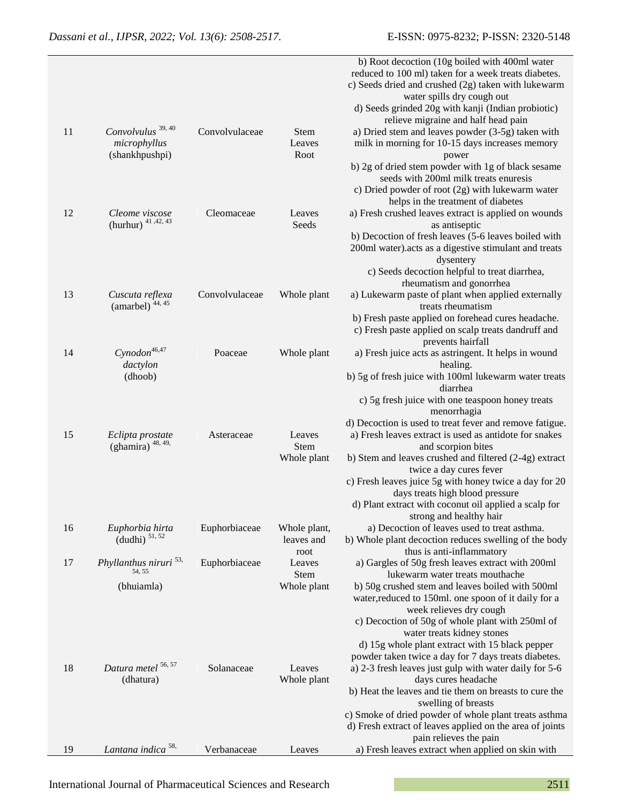|    |                                               |                |                            | b) Root decoction (10g boiled with 400ml water<br>reduced to 100 ml) taken for a week treats diabetes.<br>c) Seeds dried and crushed (2g) taken with lukewarm<br>water spills dry cough out |
|----|-----------------------------------------------|----------------|----------------------------|---------------------------------------------------------------------------------------------------------------------------------------------------------------------------------------------|
|    |                                               |                |                            | d) Seeds grinded 20g with kanji (Indian probiotic)                                                                                                                                          |
| 11 | Convolvulus <sup>39, 40</sup>                 | Convolvulaceae | <b>Stem</b>                | relieve migraine and half head pain<br>a) Dried stem and leaves powder (3-5g) taken with                                                                                                    |
|    | microphyllus                                  |                | Leaves                     | milk in morning for 10-15 days increases memory                                                                                                                                             |
|    | (shankhpushpi)                                |                | Root                       | power                                                                                                                                                                                       |
|    |                                               |                |                            | b) 2g of dried stem powder with 1g of black sesame                                                                                                                                          |
|    |                                               |                |                            | seeds with 200ml milk treats enuresis<br>c) Dried powder of root (2g) with lukewarm water                                                                                                   |
|    |                                               |                |                            | helps in the treatment of diabetes                                                                                                                                                          |
| 12 | Cleome viscose                                | Cleomaceae     | Leaves                     | a) Fresh crushed leaves extract is applied on wounds                                                                                                                                        |
|    | (hurhur) 41, 42, 43                           |                | Seeds                      | as antiseptic                                                                                                                                                                               |
|    |                                               |                |                            | b) Decoction of fresh leaves (5-6 leaves boiled with<br>200ml water).acts as a digestive stimulant and treats<br>dysentery                                                                  |
|    |                                               |                |                            | c) Seeds decoction helpful to treat diarrhea,                                                                                                                                               |
|    |                                               |                |                            | rheumatism and gonorrhea                                                                                                                                                                    |
| 13 | Cuscuta reflexa<br>(amarbel) <sup>44,45</sup> | Convolvulaceae | Whole plant                | a) Lukewarm paste of plant when applied externally<br>treats rheumatism                                                                                                                     |
|    |                                               |                |                            | b) Fresh paste applied on forehead cures headache.<br>c) Fresh paste applied on scalp treats dandruff and<br>prevents hairfall                                                              |
| 14 | $Cynodon^{46,47}$                             | Poaceae        | Whole plant                | a) Fresh juice acts as astringent. It helps in wound                                                                                                                                        |
|    | dactylon                                      |                |                            | healing.                                                                                                                                                                                    |
|    | (dhoob)                                       |                |                            | b) 5g of fresh juice with 100ml lukewarm water treats<br>diarrhea                                                                                                                           |
|    |                                               |                |                            | c) 5g fresh juice with one teaspoon honey treats<br>menorrhagia                                                                                                                             |
| 15 | Eclipta prostate                              | Asteraceae     | Leaves                     | d) Decoction is used to treat fever and remove fatigue.<br>a) Fresh leaves extract is used as antidote for snakes                                                                           |
|    | (ghamira) $48, 49$ ,                          |                | Stem                       | and scorpion bites                                                                                                                                                                          |
|    |                                               |                | Whole plant                | b) Stem and leaves crushed and filtered (2-4g) extract                                                                                                                                      |
|    |                                               |                |                            | twice a day cures fever<br>c) Fresh leaves juice 5g with honey twice a day for 20                                                                                                           |
|    |                                               |                |                            | days treats high blood pressure                                                                                                                                                             |
|    |                                               |                |                            | d) Plant extract with coconut oil applied a scalp for                                                                                                                                       |
|    |                                               |                |                            | strong and healthy hair                                                                                                                                                                     |
| 16 | Euphorbia hirta<br>$(dudhi)$ <sup>51,52</sup> | Euphorbiaceae  | Whole plant,<br>leaves and | a) Decoction of leaves used to treat asthma.<br>b) Whole plant decoction reduces swelling of the body                                                                                       |
|    |                                               |                | root                       | thus is anti-inflammatory                                                                                                                                                                   |
| 17 | Phyllanthus niruri <sup>53,</sup><br>54, 55   | Euphorbiaceae  | Leaves                     | a) Gargles of 50g fresh leaves extract with 200ml                                                                                                                                           |
|    |                                               |                | <b>Stem</b>                | lukewarm water treats mouthache                                                                                                                                                             |
|    | (bhuiamla)                                    |                | Whole plant                | b) 50g crushed stem and leaves boiled with 500ml<br>water, reduced to 150ml. one spoon of it daily for a                                                                                    |
|    |                                               |                |                            | week relieves dry cough                                                                                                                                                                     |
|    |                                               |                |                            | c) Decoction of 50g of whole plant with 250ml of                                                                                                                                            |
|    |                                               |                |                            | water treats kidney stones                                                                                                                                                                  |
|    |                                               |                |                            | d) 15g whole plant extract with 15 black pepper<br>powder taken twice a day for 7 days treats diabetes.                                                                                     |
| 18 | Datura metel <sup>56, 57</sup><br>(dhatura)   | Solanaceae     | Leaves<br>Whole plant      | a) 2-3 fresh leaves just gulp with water daily for 5-6<br>days cures headache                                                                                                               |
|    |                                               |                |                            | b) Heat the leaves and tie them on breasts to cure the<br>swelling of breasts                                                                                                               |
|    |                                               |                |                            | c) Smoke of dried powder of whole plant treats asthma<br>d) Fresh extract of leaves applied on the area of joints                                                                           |
| 19 | Lantana indica <sup>58,</sup>                 | Verbanaceae    | Leaves                     | pain relieves the pain<br>a) Fresh leaves extract when applied on skin with                                                                                                                 |
|    |                                               |                |                            |                                                                                                                                                                                             |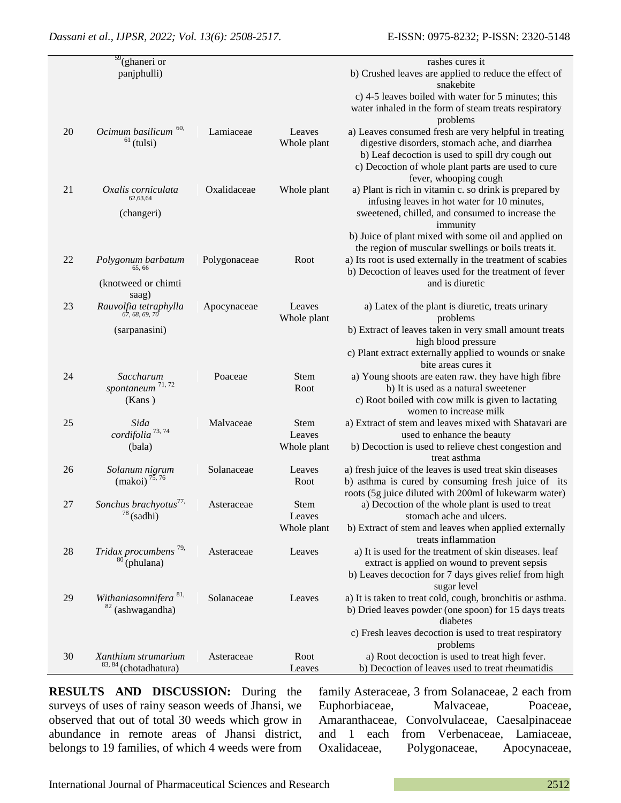|    | $59$ (ghaneri or<br>panjphulli)                              |              |                               | rashes cures it<br>b) Crushed leaves are applied to reduce the effect of                                                                                                                                                                    |
|----|--------------------------------------------------------------|--------------|-------------------------------|---------------------------------------------------------------------------------------------------------------------------------------------------------------------------------------------------------------------------------------------|
|    |                                                              |              |                               | snakebite<br>c) 4-5 leaves boiled with water for 5 minutes; this<br>water inhaled in the form of steam treats respiratory<br>problems                                                                                                       |
| 20 | Ocimum basilicum <sup>60,</sup><br>$61$ (tulsi)              | Lamiaceae    | Leaves<br>Whole plant         | a) Leaves consumed fresh are very helpful in treating<br>digestive disorders, stomach ache, and diarrhea<br>b) Leaf decoction is used to spill dry cough out<br>c) Decoction of whole plant parts are used to cure<br>fever, whooping cough |
| 21 | Oxalis corniculata<br>62,63,64<br>(changeri)                 | Oxalidaceae  | Whole plant                   | a) Plant is rich in vitamin c. so drink is prepared by<br>infusing leaves in hot water for 10 minutes,<br>sweetened, chilled, and consumed to increase the<br>immunity<br>b) Juice of plant mixed with some oil and applied on              |
| 22 | Polygonum barbatum<br>65.66<br>(knotweed or chimti<br>saag)  | Polygonaceae | Root                          | the region of muscular swellings or boils treats it.<br>a) Its root is used externally in the treatment of scabies<br>b) Decoction of leaves used for the treatment of fever<br>and is diuretic                                             |
| 23 | Rauvolfia tetraphylla<br>67, 68, 69, 70<br>(sarpanasini)     | Apocynaceae  | Leaves<br>Whole plant         | a) Latex of the plant is diuretic, treats urinary<br>problems<br>b) Extract of leaves taken in very small amount treats<br>high blood pressure<br>c) Plant extract externally applied to wounds or snake<br>bite areas cures it             |
| 24 | Saccharum<br>spontaneum $71, 72$<br>(Kans)                   | Poaceae      | Stem<br>Root                  | a) Young shoots are eaten raw. they have high fibre<br>b) It is used as a natural sweetener<br>c) Root boiled with cow milk is given to lactating<br>women to increase milk                                                                 |
| 25 | Sida<br>cordifolia <sup>73,74</sup><br>(bala)                | Malvaceae    | Stem<br>Leaves<br>Whole plant | a) Extract of stem and leaves mixed with Shatavari are<br>used to enhance the beauty<br>b) Decoction is used to relieve chest congestion and<br>treat asthma                                                                                |
| 26 | Solanum nigrum<br>$(makoi)^{75,76}$                          | Solanaceae   | Leaves<br>Root                | a) fresh juice of the leaves is used treat skin diseases<br>b) asthma is cured by consuming fresh juice of its<br>roots (5g juice diluted with 200ml of lukewarm water)                                                                     |
| 27 | Sonchus brachyotus <sup>77,</sup> Asteraceae<br>$78$ (sadhi) |              | Stem<br>Leaves<br>Whole plant | a) Decoction of the whole plant is used to treat<br>stomach ache and ulcers.<br>b) Extract of stem and leaves when applied externally<br>treats inflammation                                                                                |
| 28 | Tridax procumbens <sup>79,</sup><br>$80$ (phulana)           | Asteraceae   | Leaves                        | a) It is used for the treatment of skin diseases. leaf<br>extract is applied on wound to prevent sepsis<br>b) Leaves decoction for 7 days gives relief from high                                                                            |
| 29 | Withaniasomnifera <sup>81,</sup><br>$82$ (ashwagandha)       | Solanaceae   | Leaves                        | sugar level<br>a) It is taken to treat cold, cough, bronchitis or asthma.<br>b) Dried leaves powder (one spoon) for 15 days treats<br>diabetes<br>c) Fresh leaves decoction is used to treat respiratory                                    |
|    |                                                              |              |                               | problems                                                                                                                                                                                                                                    |
| 30 | Xanthium strumarium<br>83, 84 (chotadhatura)                 | Asteraceae   | Root<br>Leaves                | a) Root decoction is used to treat high fever.<br>b) Decoction of leaves used to treat rheumatidis                                                                                                                                          |

**RESULTS AND DISCUSSION:** During the surveys of uses of rainy season weeds of Jhansi, we observed that out of total 30 weeds which grow in abundance in remote areas of Jhansi district, belongs to 19 families, of which 4 weeds were from family Asteraceae, 3 from Solanaceae, 2 each from Euphorbiaceae, Malvaceae, Poaceae, Amaranthaceae, Convolvulaceae, Caesalpinaceae and 1 each from Verbenaceae, Lamiaceae, Oxalidaceae, Polygonaceae, Apocynaceae,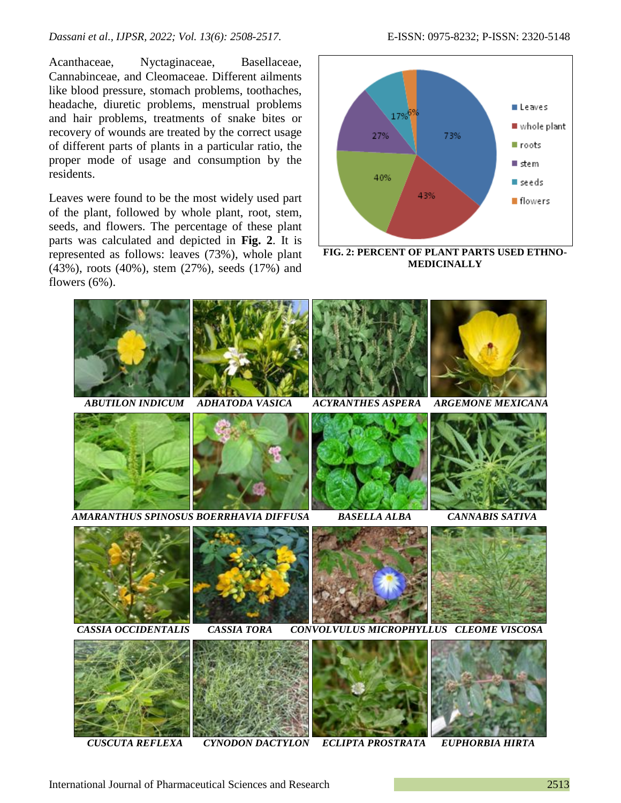*Dassani et al., IJPSR, 2022; Vol. 13(6): 2508-2517.* E-ISSN: 0975-8232; P-ISSN: 2320-5148

Acanthaceae, Nyctaginaceae, Basellaceae, Cannabinceae, and Cleomaceae. Different ailments like blood pressure, stomach problems, toothaches, headache, diuretic problems, menstrual problems and hair problems, treatments of snake bites or recovery of wounds are treated by the correct usage of different parts of plants in a particular ratio, the proper mode of usage and consumption by the residents.

Leaves were found to be the most widely used part of the plant, followed by whole plant, root, stem, seeds, and flowers. The percentage of these plant parts was calculated and depicted in **Fig. 2**. It is represented as follows: leaves (73%), whole plant (43%), roots (40%), stem (27%), seeds (17%) and flowers (6%).



**FIG. 2: PERCENT OF PLANT PARTS USED ETHNO-MEDICINALLY**



 *CUSCUTA REFLEXA CYNODON DACTYLON ECLIPTA PROSTRATA EUPHORBIA HIRTA*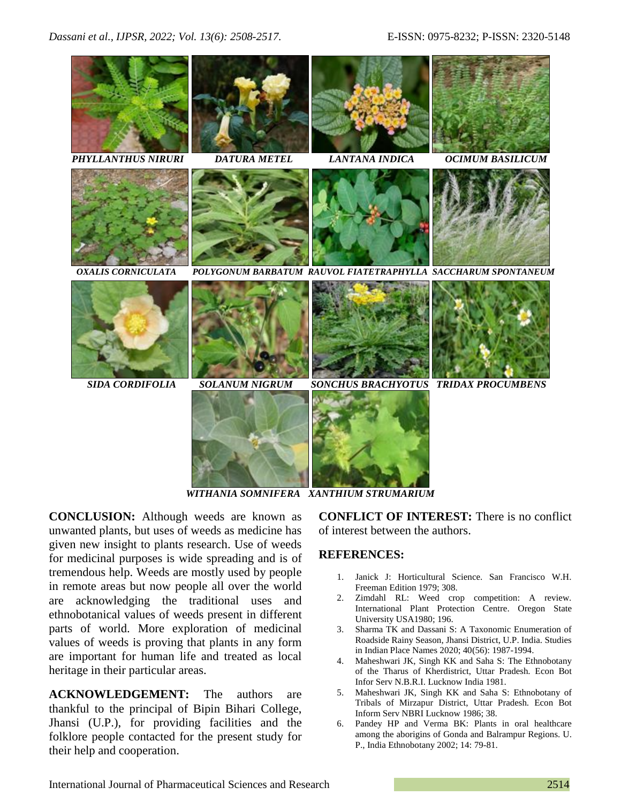

*WITHANIA SOMNIFERA XANTHIUM STRUMARIUM*

**CONCLUSION:** Although weeds are known as unwanted plants, but uses of weeds as medicine has given new insight to plants research. Use of weeds for medicinal purposes is wide spreading and is of tremendous help. Weeds are mostly used by people in remote areas but now people all over the world are acknowledging the traditional uses and ethnobotanical values of weeds present in different parts of world. More exploration of medicinal values of weeds is proving that plants in any form are important for human life and treated as local heritage in their particular areas.

**ACKNOWLEDGEMENT:** The authors are thankful to the principal of Bipin Bihari College, Jhansi (U.P.), for providing facilities and the folklore people contacted for the present study for their help and cooperation.

**CONFLICT OF INTEREST:** There is no conflict of interest between the authors.

# **REFERENCES:**

- 1. Janick J: Horticultural Science. San Francisco W.H. Freeman Edition 1979; 308.
- 2. Zimdahl RL: Weed crop competition: A review. International Plant Protection Centre. Oregon State University USA1980; 196.
- 3. Sharma TK and Dassani S: A Taxonomic Enumeration of Roadside Rainy Season, Jhansi District, U.P. India. Studies in Indian Place Names 2020; 40(56): 1987-1994.
- 4. Maheshwari JK, Singh KK and Saha S: The Ethnobotany of the Tharus of Kherdistrict, Uttar Pradesh. Econ Bot Infor Serv N.B.R.I. Lucknow India 1981.
- 5. Maheshwari JK, Singh KK and Saha S: Ethnobotany of Tribals of Mirzapur District, Uttar Pradesh. Econ Bot Inform Serv NBRI Lucknow 1986; 38.
- 6. Pandey HP and Verma BK: Plants in oral healthcare among the aborigins of Gonda and Balrampur Regions. U. P., India Ethnobotany 2002; 14: 79-81.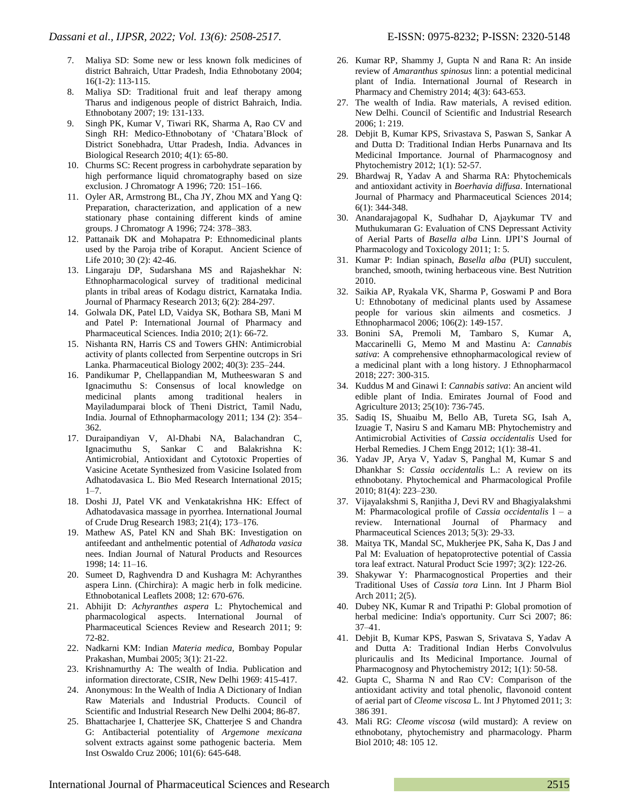- 7. Maliya SD: Some new or less known folk medicines of district Bahraich, Uttar Pradesh, India Ethnobotany 2004; 16(1-2): 113-115.
- 8. Maliya SD: Traditional fruit and leaf therapy among Tharus and indigenous people of district Bahraich, India. Ethnobotany 2007; 19: 131-133.
- 9. Singh PK, Kumar V, Tiwari RK, Sharma A, Rao CV and Singh RH: Medico-Ethnobotany of 'Chatara'Block of District Sonebhadra, Uttar Pradesh, India. Advances in Biological Research 2010; 4(1): 65-80.
- 10. Churms SC: Recent progress in carbohydrate separation by high performance liquid chromatography based on size exclusion. J Chromatogr A 1996; 720: 151–166.
- 11. Oyler AR, Armstrong BL, Cha JY, Zhou MX and Yang Q: Preparation, characterization, and application of a new stationary phase containing different kinds of amine groups. J Chromatogr A 1996; 724: 378–383.
- 12. Pattanaik DK and Mohapatra P: Ethnomedicinal plants used by the Paroja tribe of Koraput. Ancient Science of Life 2010; 30 (2): 42-46.
- 13. Lingaraju DP, Sudarshana MS and Rajashekhar N: Ethnopharmacological survey of traditional medicinal plants in tribal areas of Kodagu district, Karnataka India. Journal of Pharmacy Research 2013; 6(2): 284-297.
- 14. Golwala DK, Patel LD, Vaidya SK, Bothara SB, Mani M and Patel P: International Journal of Pharmacy and Pharmaceutical Sciences. India 2010; 2(1): 66-72.
- 15. Nishanta RN, Harris CS and Towers GHN: Antimicrobial activity of plants collected from Serpentine outcrops in Sri Lanka. Pharmaceutical Biology 2002; 40(3): 235–244.
- 16. Pandikumar P, Chellappandian M, Mutheeswaran S and Ignacimuthu S: Consensus of local knowledge on medicinal plants among traditional healers in Mayiladumparai block of Theni District, Tamil Nadu, India. Journal of Ethnopharmacology 2011; 134 (2): 354– 362.
- 17. Duraipandiyan V, Al-Dhabi NA, Balachandran C, Ignacimuthu S, Sankar C and Balakrishna K: Antimicrobial, Antioxidant and Cytotoxic Properties of Vasicine Acetate Synthesized from Vasicine Isolated from Adhatodavasica L. Bio Med Research International 2015;  $1 - 7$ .
- 18. Doshi JJ, Patel VK and Venkatakrishna HK: Effect of Adhatodavasica massage in pyorrhea. International Journal of Crude Drug Research 1983; 21(4); 173–176.
- 19. Mathew AS, Patel KN and Shah BK: Investigation on antifeedant and anthelmentic potential of *Adhatoda vasica* nees. Indian Journal of Natural Products and Resources 1998; 14: 11–16.
- 20. Sumeet D, Raghvendra D and Kushagra M: Achyranthes aspera Linn. (Chirchira): A magic herb in folk medicine. Ethnobotanical Leaflets 2008; 12: 670-676.
- 21. Abhijit D: *Achyranthes aspera* L: Phytochemical and pharmacological aspects. International Journal of Pharmaceutical Sciences Review and Research 2011; 9: 72-82.
- 22. Nadkarni KM: Indian *Materia medica*, Bombay Popular Prakashan, Mumbai 2005; 3(1): 21-22.
- 23. Krishnamurthy A: The wealth of India. Publication and information directorate, CSIR, New Delhi 1969: 415-417.
- 24. Anonymous: In the Wealth of India A Dictionary of Indian Raw Materials and Industrial Products. Council of Scientific and Industrial Research New Delhi 2004; 86-87.
- 25. Bhattacharjee I, Chatterjee SK, Chatterjee S and Chandra G: Antibacterial potentiality of *Argemone mexicana* solvent extracts against some pathogenic bacteria. Mem Inst Oswaldo Cruz 2006; 101(6): 645-648.
- 26. Kumar RP, Shammy J, Gupta N and Rana R: An inside review of *Amaranthus spinosus* linn: a potential medicinal plant of India. International Journal of Research in Pharmacy and Chemistry 2014; 4(3): 643-653.
- 27. The wealth of India. Raw materials, A revised edition. New Delhi. Council of Scientific and Industrial Research 2006; 1: 219.
- 28. Debjit B, Kumar KPS, Srivastava S, Paswan S, Sankar A and Dutta D: Traditional Indian Herbs Punarnava and Its Medicinal Importance. Journal of Pharmacognosy and Phytochemistry 2012; 1(1): 52-57.
- 29. Bhardwaj R, Yadav A and Sharma RA: Phytochemicals and antioxidant activity in *Boerhavia diffusa*. International Journal of Pharmacy and Pharmaceutical Sciences 2014; 6(1): 344-348.
- 30. Anandarajagopal K, Sudhahar D, Ajaykumar TV and Muthukumaran G: Evaluation of CNS Depressant Activity of Aerial Parts of *Basella alba* Linn. IJPI'S Journal of Pharmacology and Toxicology 2011; 1: 5.
- 31. Kumar P: Indian spinach, *Basella alba* (PUI) succulent, branched, smooth, twining herbaceous vine. Best Nutrition 2010.
- 32. Saikia AP, Ryakala VK, Sharma P, Goswami P and Bora U: Ethnobotany of medicinal plants used by Assamese people for various skin ailments and cosmetics. J Ethnopharmacol 2006; 106(2): 149-157.
- 33. Bonini SA, Premoli M, Tambaro S, Kumar A, Maccarinelli G, Memo M and Mastinu A: *Cannabis sativa*: A comprehensive ethnopharmacological review of a medicinal plant with a long history. J Ethnopharmacol 2018; 227: 300-315.
- 34. Kuddus M and Ginawi I: *Cannabis sativa*: An ancient wild edible plant of India. Emirates Journal of Food and Agriculture 2013; 25(10): 736-745.
- 35. Sadiq IS, Shuaibu M, Bello AB, Tureta SG, Isah A, Izuagie T, Nasiru S and Kamaru MB: Phytochemistry and Antimicrobial Activities of *Cassia occidentalis* Used for Herbal Remedies. J Chem Engg 2012; 1(1): 38-41.
- 36. Yadav JP, Arya V, Yadav S, Panghal M, Kumar S and Dhankhar S: *Cassia occidentalis* L.: A review on its ethnobotany. Phytochemical and Pharmacological Profile 2010; 81(4): 223–230.
- 37. Vijayalakshmi S, Ranjitha J, Devi RV and Bhagiyalakshmi M: Pharmacological profile of *Cassia occidentalis* l – a review. International Journal of Pharmacy and Pharmaceutical Sciences 2013; 5(3): 29-33.
- 38. Maitya TK, Mandal SC, Mukherjee PK, Saha K, Das J and Pal M: Evaluation of hepatoprotective potential of Cassia tora leaf extract. Natural Product Scie 1997; 3(2): 122-26.
- 39. Shakywar Y: Pharmacognostical Properties and their Traditional Uses of *Cassia tora* Linn. Int J Pharm Biol Arch 2011; 2(5).
- 40. Dubey NK, Kumar R and Tripathi P: Global promotion of herbal medicine: India's opportunity. Curr Sci 2007; 86: 37–41.
- 41. Debjit B, Kumar KPS, Paswan S, Srivatava S, Yadav A and Dutta A: Traditional Indian Herbs Convolvulus pluricaulis and Its Medicinal Importance. Journal of Pharmacognosy and Phytochemistry 2012; 1(1): 50-58.
- 42. Gupta C, Sharma N and Rao CV: Comparison of the antioxidant activity and total phenolic, flavonoid content of aerial part of *Cleome viscosa* L. Int J Phytomed 2011; 3: 386 391.
- 43. Mali RG: *Cleome viscosa* (wild mustard): A review on ethnobotany, phytochemistry and pharmacology. Pharm Biol 2010; 48: 105 12.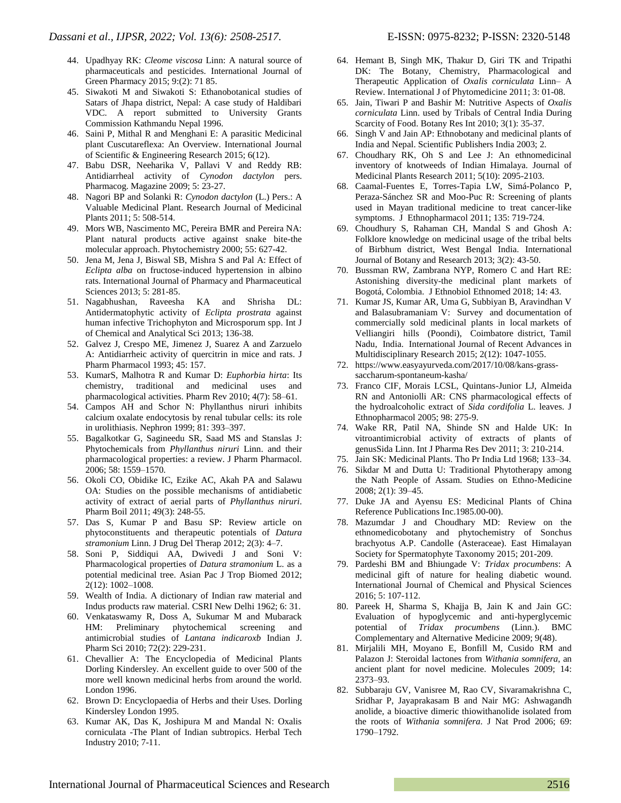- 44. Upadhyay RK: *Cleome viscosa* Linn: A natural source of pharmaceuticals and pesticides. International Journal of Green Pharmacy 2015; 9:(2): 71 85.
- 45. Siwakoti M and Siwakoti S: Ethanobotanical studies of Satars of Jhapa district, Nepal: A case study of Haldibari VDC. A report submitted to University Grants Commission Kathmandu Nepal 1996.
- 46. Saini P, Mithal R and Menghani E: A parasitic Medicinal plant Cuscutareflexa: An Overview. International Journal of Scientific & Engineering Research 2015; 6(12).
- 47. Babu DSR, Neeharika V, Pallavi V and Reddy RB: Antidiarrheal activity of *Cynodon dactylon* pers. Pharmacog. Magazine 2009; 5: 23-27.
- 48. Nagori BP and Solanki R: *Cynodon dactylon* (L.) Pers.: A Valuable Medicinal Plant. Research Journal of Medicinal Plants 2011; 5: 508-514.
- 49. Mors WB, Nascimento MC, Pereira BMR and Pereira NA: Plant natural products active against snake bite-the molecular approach. Phytochemistry 2000; 55: 627-42.
- 50. Jena M, Jena J, Biswal SB, Mishra S and Pal A: Effect of *Eclipta alba* on fructose-induced hypertension in albino rats. International Journal of Pharmacy and Pharmaceutical Sciences 2013; 5: 281-85.
- 51. Nagabhushan, Raveesha KA and Shrisha DL: Antidermatophytic activity of *Eclipta prostrata* against human infective Trichophyton and Microsporum spp. Int J of Chemical and Analytical Sci 2013; 136-38.
- 52. Galvez J, Crespo ME, Jimenez J, Suarez A and Zarzuelo A: Antidiarrheic activity of quercitrin in mice and rats. J Pharm Pharmacol 1993; 45: 157.
- 53. KumarS, Malhotra R and Kumar D: *Euphorbia hirta*: Its chemistry, traditional and medicinal uses and pharmacological activities. Pharm Rev 2010; 4(7): 58–61.
- 54. Campos AH and Schor N: Phyllanthus niruri inhibits calcium oxalate endocytosis by renal tubular cells: its role in urolithiasis. Nephron 1999; 81: 393–397.
- 55. Bagalkotkar G, Sagineedu SR, Saad MS and Stanslas J: Phytochemicals from *Phyllanthus niruri* Linn. and their pharmacological properties: a review. J Pharm Pharmacol. 2006; 58: 1559–1570.
- 56. Okoli CO, Obidike IC, Ezike AC, Akah PA and Salawu OA: Studies on the possible mechanisms of antidiabetic activity of extract of aerial parts of *Phyllanthus niruri*. Pharm Boil 2011; 49(3): 248-55.
- 57. Das S, Kumar P and Basu SP: Review article on phytoconstituents and therapeutic potentials of *Datura stramonium* Linn. J Drug Del Therap 2012; 2(3): 4–7.
- 58. Soni P, Siddiqui AA, Dwivedi J and Soni V: Pharmacological properties of *Datura stramonium* L. as a potential medicinal tree. Asian Pac J Trop Biomed 2012; 2(12): 1002–1008.
- 59. Wealth of India. A dictionary of Indian raw material and Indus products raw material. CSRI New Delhi 1962; 6: 31.
- 60. Venkataswamy R, Doss A, Sukumar M and Mubarack HM: Preliminary phytochemical screening and antimicrobial studies of *Lantana indicaroxb* Indian J. Pharm Sci 2010; 72(2): 229-231.
- 61. Chevallier A: The Encyclopedia of Medicinal Plants Dorling Kindersley. An excellent guide to over 500 of the more well known medicinal herbs from around the world. London 1996.
- 62. Brown D: Encyclopaedia of Herbs and their Uses. Dorling Kindersley London 1995.
- 63. Kumar AK, Das K, Joshipura M and Mandal N: Oxalis corniculata -The Plant of Indian subtropics. Herbal Tech Industry 2010; 7-11.
- 64. Hemant B, Singh MK, Thakur D, Giri TK and Tripathi DK: The Botany, Chemistry, Pharmacological and Therapeutic Application of *Oxalis corniculata* Linn– A Review. International J of Phytomedicine 2011; 3: 01-08.
- 65. Jain, Tiwari P and Bashir M: Nutritive Aspects of *Oxalis corniculata* Linn. used by Tribals of Central India During Scarcity of Food. Botany Res Int 2010; 3(1): 35-37.
- 66. Singh V and Jain AP: Ethnobotany and medicinal plants of India and Nepal. Scientific Publishers India 2003; 2.
- 67. Choudhary RK, Oh S and Lee J: An ethnomedicinal inventory of knotweeds of Indian Himalaya. Journal of Medicinal Plants Research 2011; 5(10): 2095-2103.
- 68. Caamal-Fuentes E, Torres-Tapia LW, Simá-Polanco P, Peraza-Sánchez SR and Moo-Puc R: Screening of plants used in Mayan traditional medicine to treat cancer-like symptoms. J Ethnopharmacol 2011; 135: 719-724.
- 69. Choudhury S, Rahaman CH, Mandal S and Ghosh A: Folklore knowledge on medicinal usage of the tribal belts of Birbhum district, West Bengal India. International Journal of Botany and Research 2013; 3(2): 43-50.
- 70. Bussman RW, Zambrana NYP, Romero C and Hart RE: Astonishing diversity-the medicinal plant markets of Bogotá, Colombia. J Ethnobiol Ethnomed 2018; 14: 43.
- 71. Kumar JS, Kumar AR, Uma G, Subbiyan B, Aravindhan V and Balasubramaniam V: Survey and documentation of commercially sold medicinal plants in local markets of Velliangiri hills (Poondi), Coimbatore district, Tamil Nadu, India. International Journal of Recent Advances in Multidisciplinary Research 2015; 2(12): 1047-1055.
- 72. https://www.easyayurveda.com/2017/10/08/kans-grasssaccharum-spontaneum-kasha/
- 73. Franco CIF, Morais LCSL, Quintans-Junior LJ, Almeida RN and Antoniolli AR: CNS pharmacological effects of the hydroalcoholic extract of *Sida cordifolia* L. leaves. J Ethnopharmacol 2005; 98: 275-9.
- 74. Wake RR, Patil NA, Shinde SN and Halde UK: In vitroantimicrobial activity of extracts of plants of genusSida Linn. Int J Pharma Res Dev 2011; 3: 210-214.
- 75. Jain SK: Medicinal Plants. Tho Pr India Ltd 1968; 133–34.
- 76. Sikdar M and Dutta U: Traditional Phytotherapy among the Nath People of Assam. Studies on Ethno-Medicine 2008; 2(1): 39–45.
- 77. Duke JA and Ayensu ES: Medicinal Plants of China Reference Publications Inc.1985.00-00).
- 78. Mazumdar J and Choudhary MD: Review on the ethnomedicobotany and phytochemistry of Sonchus brachyotus A.P. Candolle (Asteraceae). East Himalayan Society for Spermatophyte Taxonomy 2015; 201-209.
- 79. Pardeshi BM and Bhiungade V: *Tridax procumbens*: A medicinal gift of nature for healing diabetic wound. International Journal of Chemical and Physical Sciences 2016; 5: 107-112.
- 80. Pareek H, Sharma S, Khajja B, Jain K and Jain GC: Evaluation of hypoglycemic and anti-hyperglycemic potential of *Tridax procumbens* (Linn.). BMC Complementary and Alternative Medicine 2009; 9(48).
- 81. Mirjalili MH, Moyano E, Bonfill M, Cusido RM and Palazon J: Steroidal lactones from *Withania somnifera*, an ancient plant for novel medicine. Molecules 2009; 14: 2373–93.
- 82. Subbaraju GV, Vanisree M, Rao CV, Sivaramakrishna C, Sridhar P, Jayaprakasam B and Nair MG: Ashwagandh anolide, a bioactive dimeric thiowithanolide isolated from the roots of *Withania somnifera*. J Nat Prod 2006; 69: 1790–1792.